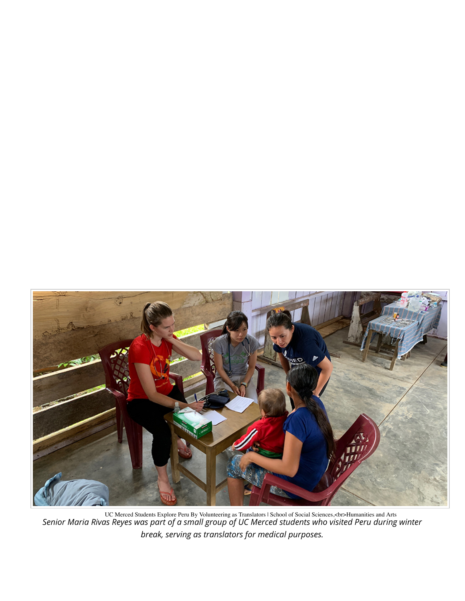

UC Merced Students Explore Peru By Volunteering as Translators | School of Social Sciences,<br>Humanities and Arts *Senior Maria Rivas Reyes was part of a small group of UC Merced students who visited Peru during winter break, serving as translators for medical purposes.*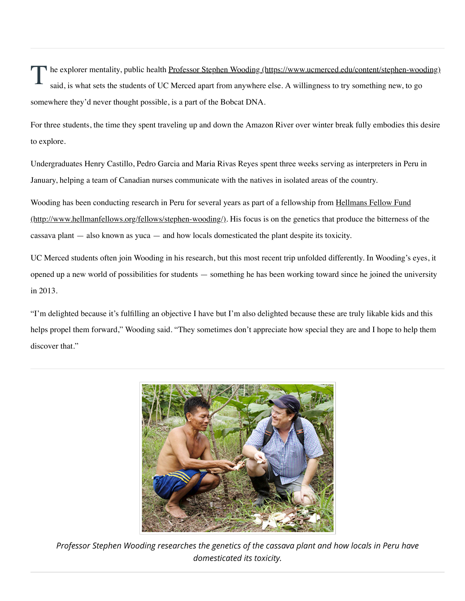The explorer mentality, public health Professor Stephen Wooding (https://www.ucmerced.edu/content/stephen-wooding) said, is what sets the students of UC Merced apart from anywhere else. A willingness to try something new, to go somewhere they'd never thought possible, is a part of the Bobcat DNA.

For three students, the time they spent traveling up and down the Amazon River over winter break fully embodies this desire to explore.

Undergraduates Henry Castillo, Pedro Garcia and Maria Rivas Reyes spent three weeks serving as interpreters in Peru in January, helping a team of Canadian nurses communicate with the natives in isolated areas of the country.

Wooding has been conducting research in Peru for several years as part of a fellowship from Hellmans Fellow Fund (http://www.hellmanfellows.org/fellows/stephen-wooding/). His focus is on the genetics that produce the bitterness of the cassava plant — also known as yuca — and how locals domesticated the plant despite its toxicity.

UC Merced students often join Wooding in his research, but this most recent trip unfolded differently. In Wooding's eyes, it opened up a new world of possibilities for students — something he has been working toward since he joined the university in 2013.

"I'm delighted because it's fulfilling an objective I have but I'm also delighted because these are truly likable kids and this helps propel them forward," Wooding said. "They sometimes don't appreciate how special they are and I hope to help them discover that."



*Professor Stephen Wooding researches the genetics of the cassava plant and how locals in Peru have domesticated its toxicity.*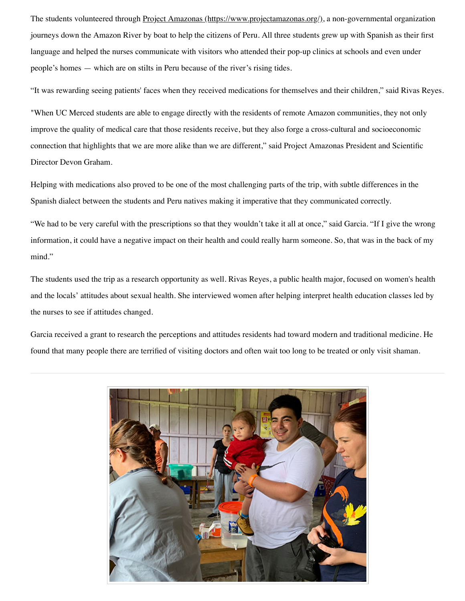The students volunteered through Project Amazonas (https://www.projectamazonas.org/), a non-governmental organization journeys down the Amazon River by boat to help the citizens of Peru. All three students grew up with Spanish as their first language and helped the nurses communicate with visitors who attended their pop-up clinics at schools and even under people's homes — which are on stilts in Peru because of the river's rising tides.

"It was rewarding seeing patients' faces when they received medications for themselves and their children," said Rivas Reyes.

"When UC Merced students are able to engage directly with the residents of remote Amazon communities, they not only improve the quality of medical care that those residents receive, but they also forge a cross-cultural and socioeconomic connection that highlights that we are more alike than we are different," said Project Amazonas President and Scientific Director Devon Graham.

Helping with medications also proved to be one of the most challenging parts of the trip, with subtle differences in the Spanish dialect between the students and Peru natives making it imperative that they communicated correctly.

"We had to be very careful with the prescriptions so that they wouldn't take it all at once," said Garcia. "If I give the wrong information, it could have a negative impact on their health and could really harm someone. So, that was in the back of my mind."

The students used the trip as a research opportunity as well. Rivas Reyes, a public health major, focused on women's health and the locals' attitudes about sexual health. She interviewed women after helping interpret health education classes led by the nurses to see if attitudes changed.

Garcia received a grant to research the perceptions and attitudes residents had toward modern and traditional medicine. He found that many people there are terrified of visiting doctors and often wait too long to be treated or only visit shaman.